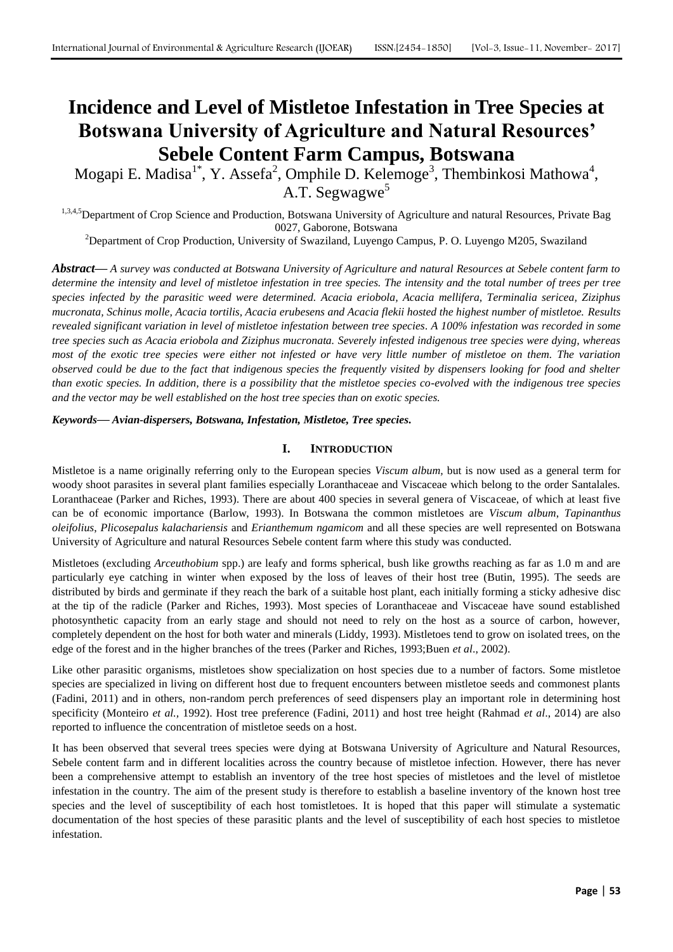# **Incidence and Level of Mistletoe Infestation in Tree Species at Botswana University of Agriculture and Natural Resources' Sebele Content Farm Campus, Botswana**

Mogapi E. Madisa $^{1*}$ , Y. Assefa<sup>2</sup>, Omphile D. Kelemoge<sup>3</sup>, Thembinkosi Mathowa<sup>4</sup>, A.T. Segwagwe<sup>5</sup>

1,3,4,5 Department of Crop Science and Production, Botswana University of Agriculture and natural Resources, Private Bag 0027, Gaborone, Botswana

<sup>2</sup>Department of Crop Production, University of Swaziland, Luyengo Campus, P. O. Luyengo M205, Swaziland

*Abstract***—** *A survey was conducted at Botswana University of Agriculture and natural Resources at Sebele content farm to determine the intensity and level of mistletoe infestation in tree species. The intensity and the total number of trees per tree species infected by the parasitic weed were determined. Acacia eriobola, Acacia mellifera, Terminalia sericea, Ziziphus mucronata, Schinus molle, Acacia tortilis, Acacia erubesens and Acacia flekii hosted the highest number of mistletoe. Results revealed significant variation in level of mistletoe infestation between tree species. A 100% infestation was recorded in some tree species such as Acacia eriobola and Ziziphus mucronata. Severely infested indigenous tree species were dying, whereas most of the exotic tree species were either not infested or have very little number of mistletoe on them. The variation observed could be due to the fact that indigenous species the frequently visited by dispensers looking for food and shelter than exotic species. In addition, there is a possibility that the mistletoe species co-evolved with the indigenous tree species and the vector may be well established on the host tree species than on exotic species.* 

*Keywords***—** *Avian-dispersers, Botswana, Infestation, Mistletoe, Tree species.*

## **I. INTRODUCTION**

Mistletoe is a name originally referring only to the European species *Viscum album,* but is now used as a general term for woody shoot parasites in several plant families especially Loranthaceae and Viscaceae which belong to the order Santalales. Loranthaceae (Parker and Riches, 1993). There are about 400 species in several genera of Viscaceae, of which at least five can be of economic importance (Barlow, 1993). In Botswana the common mistletoes are *Viscum album*, *Tapinanthus oleifolius*, *Plicosepalus kalachariensis* and *Erianthemum ngamicom* and all these species are well represented on Botswana University of Agriculture and natural Resources Sebele content farm where this study was conducted.

Mistletoes (excluding *Arceuthobium* spp.) are leafy and forms spherical, bush like growths reaching as far as 1.0 m and are particularly eye catching in winter when exposed by the loss of leaves of their host tree (Butin, 1995). The seeds are distributed by birds and germinate if they reach the bark of a suitable host plant, each initially forming a sticky adhesive disc at the tip of the radicle (Parker and Riches, 1993). Most species of Loranthaceae and Viscaceae have sound established photosynthetic capacity from an early stage and should not need to rely on the host as a source of carbon, however, completely dependent on the host for both water and minerals (Liddy, 1993). Mistletoes tend to grow on isolated trees, on the edge of the forest and in the higher branches of the trees (Parker and Riches, 1993;Buen *et al*., 2002).

Like other parasitic organisms, mistletoes show specialization on host species due to a number of factors. Some mistletoe species are specialized in living on different host due to frequent encounters between mistletoe seeds and commonest plants (Fadini, 2011) and in others, non-random perch preferences of seed dispensers play an important role in determining host specificity (Monteiro *et al.,* 1992). Host tree preference (Fadini, 2011) and host tree height (Rahmad *et al*., 2014) are also reported to influence the concentration of mistletoe seeds on a host.

It has been observed that several trees species were dying at Botswana University of Agriculture and Natural Resources, Sebele content farm and in different localities across the country because of mistletoe infection. However, there has never been a comprehensive attempt to establish an inventory of the tree host species of mistletoes and the level of mistletoe infestation in the country. The aim of the present study is therefore to establish a baseline inventory of the known host tree species and the level of susceptibility of each host tomistletoes. It is hoped that this paper will stimulate a systematic documentation of the host species of these parasitic plants and the level of susceptibility of each host species to mistletoe infestation.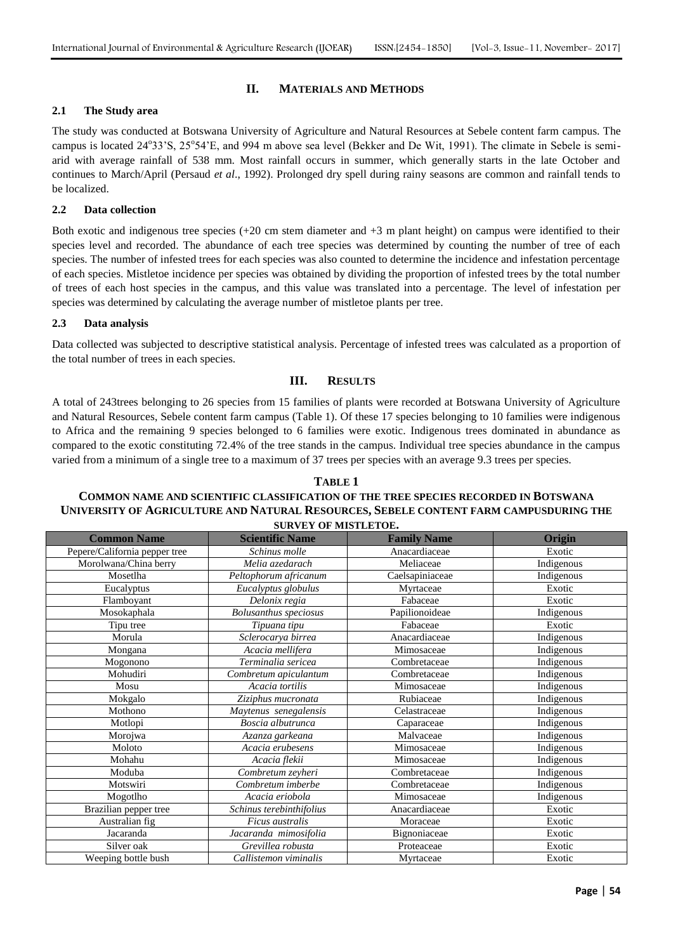## **II. MATERIALS AND METHODS**

### **2.1 The Study area**

The study was conducted at Botswana University of Agriculture and Natural Resources at Sebele content farm campus. The campus is located 24°33'S, 25°54'E, and 994 m above sea level (Bekker and De Wit, 1991). The climate in Sebele is semiarid with average rainfall of 538 mm. Most rainfall occurs in summer, which generally starts in the late October and continues to March/April (Persaud *et al*., 1992). Prolonged dry spell during rainy seasons are common and rainfall tends to be localized.

### **2.2 Data collection**

Both exotic and indigenous tree species (+20 cm stem diameter and +3 m plant height) on campus were identified to their species level and recorded. The abundance of each tree species was determined by counting the number of tree of each species. The number of infested trees for each species was also counted to determine the incidence and infestation percentage of each species. Mistletoe incidence per species was obtained by dividing the proportion of infested trees by the total number of trees of each host species in the campus, and this value was translated into a percentage. The level of infestation per species was determined by calculating the average number of mistletoe plants per tree.

#### **2.3 Data analysis**

Data collected was subjected to descriptive statistical analysis. Percentage of infested trees was calculated as a proportion of the total number of trees in each species.

## **III. RESULTS**

A total of 243trees belonging to 26 species from 15 families of plants were recorded at Botswana University of Agriculture and Natural Resources, Sebele content farm campus (Table 1). Of these 17 species belonging to 10 families were indigenous to Africa and the remaining 9 species belonged to 6 families were exotic. Indigenous trees dominated in abundance as compared to the exotic constituting 72.4% of the tree stands in the campus. Individual tree species abundance in the campus varied from a minimum of a single tree to a maximum of 37 trees per species with an average 9.3 trees per species.

## **TABLE 1 COMMON NAME AND SCIENTIFIC CLASSIFICATION OF THE TREE SPECIES RECORDED IN BOTSWANA UNIVERSITY OF AGRICULTURE AND NATURAL RESOURCES, SEBELE CONTENT FARM CAMPUSDURING THE SURVEY OF MISTLETOE.**

| <b>Common Name</b>            | <b>Scientific Name</b>       | <b>Family Name</b> | Origin     |
|-------------------------------|------------------------------|--------------------|------------|
| Pepere/California pepper tree | Schinus molle                | Anacardiaceae      | Exotic     |
| Morolwana/China berry         | Melia azedarach              | Meliaceae          | Indigenous |
| Mosetlha                      | Peltophorum africanum        | Caelsapiniaceae    | Indigenous |
| Eucalyptus                    | Eucalyptus globulus          | Myrtaceae          | Exotic     |
| Flamboyant                    | Delonix regia                | Fabaceae           | Exotic     |
| Mosokaphala                   | <b>Bolusanthus</b> speciosus | Papilionoideae     | Indigenous |
| Tipu tree                     | Tipuana tipu                 | Fabaceae           | Exotic     |
| Morula                        | Sclerocarya birrea           | Anacardiaceae      | Indigenous |
| Mongana                       | Acacia mellifera             | Mimosaceae         | Indigenous |
| Mogonono                      | Terminalia sericea           | Combretaceae       | Indigenous |
| Mohudiri                      | Combretum apiculantum        | Combretaceae       | Indigenous |
| Mosu                          | Acacia tortilis              | Mimosaceae         | Indigenous |
| Mokgalo                       | Ziziphus mucronata           | Rubiaceae          | Indigenous |
| Mothono                       | Maytenus senegalensis        | Celastraceae       | Indigenous |
| Motlopi                       | Boscia albutrunca            | Caparaceae         | Indigenous |
| Morojwa                       | Azanza garkeana              | Malvaceae          | Indigenous |
| Moloto                        | Acacia erubesens             | Mimosaceae         | Indigenous |
| Mohahu                        | Acacia flekii                | Mimosaceae         | Indigenous |
| Moduba                        | Combretum zeyheri            | Combretaceae       | Indigenous |
| Motswiri                      | Combretum imberbe            | Combretaceae       | Indigenous |
| Mogotlho                      | Acacia eriobola              | Mimosaceae         | Indigenous |
| Brazilian pepper tree         | Schinus terebinthifolius     | Anacardiaceae      | Exotic     |
| Australian fig                | Ficus australis              | Moraceae           | Exotic     |
| Jacaranda                     | Jacaranda mimosifolia        | Bignoniaceae       | Exotic     |
| Silver oak                    | Grevillea robusta            | Proteaceae         | Exotic     |
| Weeping bottle bush           | Callistemon viminalis        | Myrtaceae          | Exotic     |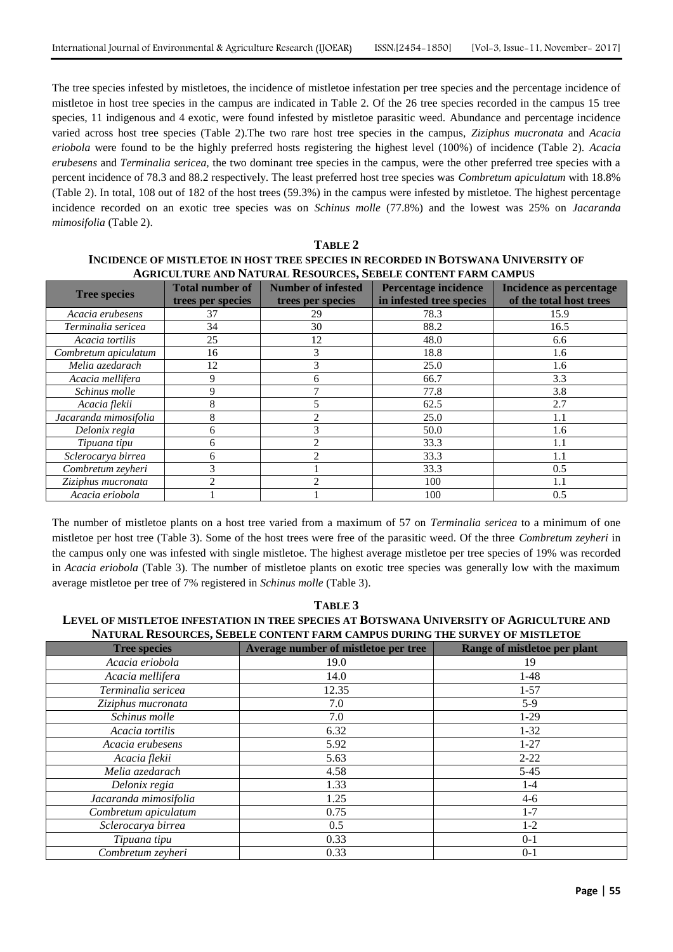The tree species infested by mistletoes, the incidence of mistletoe infestation per tree species and the percentage incidence of mistletoe in host tree species in the campus are indicated in Table 2. Of the 26 tree species recorded in the campus 15 tree species, 11 indigenous and 4 exotic, were found infested by mistletoe parasitic weed. Abundance and percentage incidence varied across host tree species (Table 2).The two rare host tree species in the campus, *Ziziphus mucronata* and *Acacia eriobola* were found to be the highly preferred hosts registering the highest level (100%) of incidence (Table 2). *Acacia erubesens* and *Terminalia sericea,* the two dominant tree species in the campus, were the other preferred tree species with a percent incidence of 78.3 and 88.2 respectively. The least preferred host tree species was *Combretum apiculatum* with 18.8% (Table 2). In total, 108 out of 182 of the host trees (59.3%) in the campus were infested by mistletoe. The highest percentage incidence recorded on an exotic tree species was on *Schinus molle* (77.8%) and the lowest was 25% on *Jacaranda mimosifolia* (Table 2).

## **TABLE 2 INCIDENCE OF MISTLETOE IN HOST TREE SPECIES IN RECORDED IN BOTSWANA UNIVERSITY OF AGRICULTURE AND NATURAL RESOURCES, SEBELE CONTENT FARM CAMPUS**

| <b>Tree species</b>   | <b>Total number of</b><br>trees per species | <b>Number of infested</b><br>trees per species                                                                                                                                                                                                                                                                                                                                                              | <b>Percentage incidence</b><br>in infested tree species | <b>Incidence as percentage</b><br>of the total host trees |
|-----------------------|---------------------------------------------|-------------------------------------------------------------------------------------------------------------------------------------------------------------------------------------------------------------------------------------------------------------------------------------------------------------------------------------------------------------------------------------------------------------|---------------------------------------------------------|-----------------------------------------------------------|
| Acacia erubesens      | 37                                          | 29                                                                                                                                                                                                                                                                                                                                                                                                          | 78.3                                                    | 15.9                                                      |
| Terminalia sericea    | 34                                          | 30                                                                                                                                                                                                                                                                                                                                                                                                          | 88.2                                                    | 16.5                                                      |
| Acacia tortilis       | 25                                          | 12                                                                                                                                                                                                                                                                                                                                                                                                          | 48.0                                                    | 6.6                                                       |
| Combretum apiculatum  | 16                                          | 3                                                                                                                                                                                                                                                                                                                                                                                                           | 18.8                                                    | 1.6                                                       |
| Melia azedarach       | 12                                          | 3                                                                                                                                                                                                                                                                                                                                                                                                           | 25.0                                                    | 1.6                                                       |
| Acacia mellifera      | 9                                           | 6                                                                                                                                                                                                                                                                                                                                                                                                           | 66.7                                                    | 3.3                                                       |
| Schinus molle         | 9                                           |                                                                                                                                                                                                                                                                                                                                                                                                             | 77.8                                                    | 3.8                                                       |
| Acacia flekii         | 8                                           | 5                                                                                                                                                                                                                                                                                                                                                                                                           | 62.5                                                    | 2.7                                                       |
| Jacaranda mimosifolia | 8                                           | $\mathfrak{D}_{1}^{(1)} = \mathfrak{D}_{2}^{(1)} = \mathfrak{D}_{2}^{(1)} = \mathfrak{D}_{2}^{(1)} = \mathfrak{D}_{2}^{(1)} = \mathfrak{D}_{2}^{(1)} = \mathfrak{D}_{2}^{(1)} = \mathfrak{D}_{2}^{(1)} = \mathfrak{D}_{2}^{(1)} = \mathfrak{D}_{2}^{(1)} = \mathfrak{D}_{2}^{(1)} = \mathfrak{D}_{2}^{(1)} = \mathfrak{D}_{2}^{(1)} = \mathfrak{D}_{2}^{(1)} = \mathfrak{D}_{2}^{(1)} = \mathfrak{D}_{2}^{$ | 25.0                                                    | 1.1                                                       |
| Delonix regia         | h                                           | 3                                                                                                                                                                                                                                                                                                                                                                                                           | 50.0                                                    | 1.6                                                       |
| Tipuana tipu          | 6                                           | $\overline{2}$                                                                                                                                                                                                                                                                                                                                                                                              | 33.3                                                    | 1.1                                                       |
| Sclerocarya birrea    | 6                                           |                                                                                                                                                                                                                                                                                                                                                                                                             | 33.3                                                    | 1.1                                                       |
| Combretum zeyheri     | 3                                           |                                                                                                                                                                                                                                                                                                                                                                                                             | 33.3                                                    | 0.5                                                       |
| Ziziphus mucronata    | າ                                           | $\mathfrak{D}$                                                                                                                                                                                                                                                                                                                                                                                              | 100                                                     | 1.1                                                       |
| Acacia eriobola       |                                             |                                                                                                                                                                                                                                                                                                                                                                                                             | 100                                                     | 0.5                                                       |

The number of mistletoe plants on a host tree varied from a maximum of 57 on *Terminalia sericea* to a minimum of one mistletoe per host tree (Table 3). Some of the host trees were free of the parasitic weed. Of the three *Combretum zeyheri* in the campus only one was infested with single mistletoe. The highest average mistletoe per tree species of 19% was recorded in *Acacia eriobola* (Table 3). The number of mistletoe plants on exotic tree species was generally low with the maximum average mistletoe per tree of 7% registered in *Schinus molle* (Table 3).

| LEVEL OF MISTLETOE INFESTATION IN TREE SPECIES AT BOTSWANA UNIVERSITY OF AGRICULTURE AND |                                      |                              |  |  |  |  |
|------------------------------------------------------------------------------------------|--------------------------------------|------------------------------|--|--|--|--|
| NATURAL RESOURCES, SEBELE CONTENT FARM CAMPUS DURING THE SURVEY OF MISTLETOE             |                                      |                              |  |  |  |  |
| <b>Tree species</b>                                                                      | Average number of mistletoe per tree | Range of mistletoe per plant |  |  |  |  |
| Acacia eriobola                                                                          | 19.0                                 | 19                           |  |  |  |  |
| Acacia mellifera                                                                         | 14.0                                 | $1-48$                       |  |  |  |  |
| Terminalia sericea                                                                       | 12.35                                | $1 - 57$                     |  |  |  |  |
| Ziziphus mucronata                                                                       | 7.0                                  | $5-9$                        |  |  |  |  |
| Schinus molle                                                                            | 7.0                                  | $1-29$                       |  |  |  |  |
| Acacia tortilis                                                                          | 6.32                                 | $1-32$                       |  |  |  |  |
| Acacia erubesens                                                                         | 5.92                                 | $1-27$                       |  |  |  |  |
| Acacia flekii                                                                            | 5.63                                 | $2 - 22$                     |  |  |  |  |
| Melia azedarach                                                                          | 4.58                                 | $5-45$                       |  |  |  |  |
| Delonix regia                                                                            | 1.33                                 | $1 - 4$                      |  |  |  |  |
| Jacaranda mimosifolia                                                                    | 1.25                                 | $4-6$                        |  |  |  |  |
| Combretum apiculatum                                                                     | 0.75                                 | $1 - 7$                      |  |  |  |  |
| Sclerocarya birrea                                                                       | 0.5                                  | $1 - 2$                      |  |  |  |  |
| Tipuana tipu                                                                             | 0.33                                 | $0 - 1$                      |  |  |  |  |
| Combretum zeyheri                                                                        | 0.33                                 | $0 - 1$                      |  |  |  |  |

## **TABLE 3**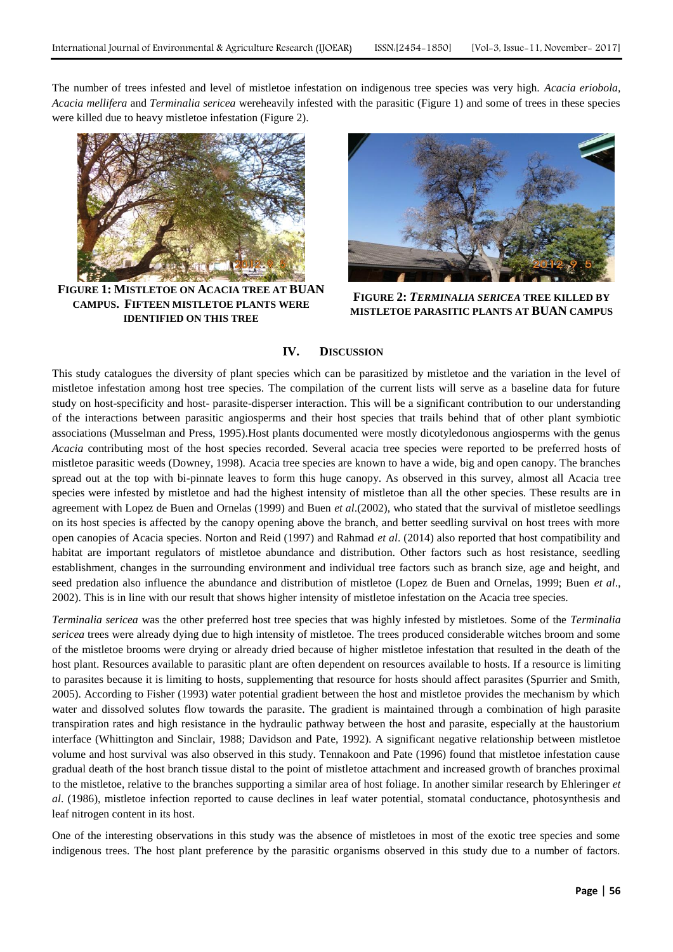The number of trees infested and level of mistletoe infestation on indigenous tree species was very high. *Acacia eriobola, Acacia mellifera* and *Terminalia sericea* wereheavily infested with the parasitic (Figure 1) and some of trees in these species were killed due to heavy mistletoe infestation (Figure 2).



**FIGURE 1: MISTLETOE ON ACACIA TREE AT BUAN CAMPUS. FIFTEEN MISTLETOE PLANTS WERE IDENTIFIED ON THIS TREE**



**FIGURE 2:** *TERMINALIA SERICEA* **TREE KILLED BY MISTLETOE PARASITIC PLANTS AT BUAN CAMPUS**

#### **IV. DISCUSSION**

This study catalogues the diversity of plant species which can be parasitized by mistletoe and the variation in the level of mistletoe infestation among host tree species. The compilation of the current lists will serve as a baseline data for future study on host-specificity and host- parasite-disperser interaction. This will be a significant contribution to our understanding of the interactions between parasitic angiosperms and their host species that trails behind that of other plant symbiotic associations (Musselman and Press, 1995).Host plants documented were mostly dicotyledonous angiosperms with the genus *Acacia* contributing most of the host species recorded. Several acacia tree species were reported to be preferred hosts of mistletoe parasitic weeds (Downey, 1998). Acacia tree species are known to have a wide, big and open canopy. The branches spread out at the top with bi-pinnate leaves to form this huge canopy. As observed in this survey, almost all Acacia tree species were infested by mistletoe and had the highest intensity of mistletoe than all the other species. These results are in agreement with Lopez de Buen and Ornelas (1999) and Buen *et al*.(2002), who stated that the survival of mistletoe seedlings on its host species is affected by the canopy opening above the branch, and better seedling survival on host trees with more open canopies of Acacia species. Norton and Reid (1997) and Rahmad *et al*. (2014) also reported that host compatibility and habitat are important regulators of mistletoe abundance and distribution. Other factors such as host resistance, seedling establishment, changes in the surrounding environment and individual tree factors such as branch size, age and height, and seed predation also influence the abundance and distribution of mistletoe (Lopez de Buen and Ornelas, 1999; Buen *et al*., 2002). This is in line with our result that shows higher intensity of mistletoe infestation on the Acacia tree species.

*Terminalia sericea* was the other preferred host tree species that was highly infested by mistletoes. Some of the *Terminalia sericea* trees were already dying due to high intensity of mistletoe. The trees produced considerable witches broom and some of the mistletoe brooms were drying or already dried because of higher mistletoe infestation that resulted in the death of the host plant. Resources available to parasitic plant are often dependent on resources available to hosts. If a resource is limiting to parasites because it is limiting to hosts, supplementing that resource for hosts should affect parasites (Spurrier and Smith, 2005). According to Fisher (1993) water potential gradient between the host and mistletoe provides the mechanism by which water and dissolved solutes flow towards the parasite. The gradient is maintained through a combination of high parasite transpiration rates and high resistance in the hydraulic pathway between the host and parasite, especially at the haustorium interface (Whittington and Sinclair, 1988; Davidson and Pate, 1992). A significant negative relationship between mistletoe volume and host survival was also observed in this study. Tennakoon and Pate (1996) found that mistletoe infestation cause gradual death of the host branch tissue distal to the point of mistletoe attachment and increased growth of branches proximal to the mistletoe, relative to the branches supporting a similar area of host foliage. In another similar research by Ehleringer *et al*. (1986), mistletoe infection reported to cause declines in leaf water potential, stomatal conductance, photosynthesis and leaf nitrogen content in its host.

One of the interesting observations in this study was the absence of mistletoes in most of the exotic tree species and some indigenous trees. The host plant preference by the parasitic organisms observed in this study due to a number of factors.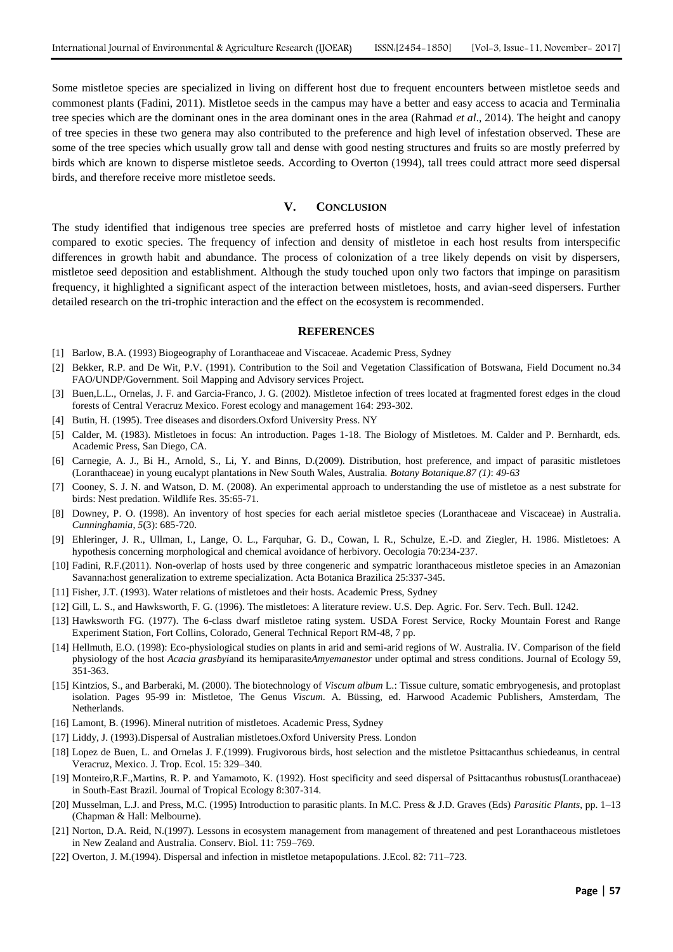Some mistletoe species are specialized in living on different host due to frequent encounters between mistletoe seeds and commonest plants (Fadini, 2011). Mistletoe seeds in the campus may have a better and easy access to acacia and Terminalia tree species which are the dominant ones in the area dominant ones in the area (Rahmad *et al*., 2014). The height and canopy of tree species in these two genera may also contributed to the preference and high level of infestation observed. These are some of the tree species which usually grow tall and dense with good nesting structures and fruits so are mostly preferred by birds which are known to disperse mistletoe seeds. According to Overton (1994), tall trees could attract more seed dispersal birds, and therefore receive more mistletoe seeds.

#### **V. CONCLUSION**

The study identified that indigenous tree species are preferred hosts of mistletoe and carry higher level of infestation compared to exotic species. The frequency of infection and density of mistletoe in each host results from interspecific differences in growth habit and abundance. The process of colonization of a tree likely depends on visit by dispersers, mistletoe seed deposition and establishment. Although the study touched upon only two factors that impinge on parasitism frequency, it highlighted a significant aspect of the interaction between mistletoes, hosts, and avian-seed dispersers. Further detailed research on the tri-trophic interaction and the effect on the ecosystem is recommended.

#### **REFERENCES**

- [1] Barlow, B.A. (1993) Biogeography of Loranthaceae and Viscaceae. Academic Press, Sydney
- [2] Bekker, R.P. and De Wit, P.V. (1991). Contribution to the Soil and Vegetation Classification of Botswana, Field Document no.34 FAO/UNDP/Government. Soil Mapping and Advisory services Project.
- [3] Buen,L.L., Ornelas, J. F. and Garcia-Franco, J. G. (2002). Mistletoe infection of trees located at fragmented forest edges in the cloud forests of Central Veracruz Mexico. Forest ecology and management 164: 293-302.
- [4] Butin, H. (1995). Tree diseases and disorders.Oxford University Press. NY
- [5] Calder, M. (1983). Mistletoes in focus: An introduction. Pages 1-18. The Biology of Mistletoes. M. Calder and P. Bernhardt, eds. Academic Press, San Diego, CA.
- [6] Carnegie, A. J., Bi H., Arnold, S., Li, Y. and Binns, D.(2009). Distribution, host preference, and impact of parasitic mistletoes (Loranthaceae) in young eucalypt plantations in New South Wales, Australia. *Botany Botanique.87 (1)*: *49-63*
- [7] Cooney, S. J. N. and Watson, D. M. (2008). An experimental approach to understanding the use of mistletoe as a nest substrate for birds: Nest predation. Wildlife Res. 35:65-71.
- [8] Downey, P. O. (1998). An inventory of host species for each aerial mistletoe species (Loranthaceae and Viscaceae) in Australia. *Cunninghamia*, *5*(3): 685-720.
- [9] Ehleringer, J. R., Ullman, I., Lange, O. L., Farquhar, G. D., Cowan, I. R., Schulze, E.-D. and Ziegler, H. 1986. Mistletoes: A hypothesis concerning morphological and chemical avoidance of herbivory. Oecologia 70:234-237.
- [10] Fadini, R.F.(2011). Non-overlap of hosts used by three congeneric and sympatric loranthaceous mistletoe species in an Amazonian Savanna:host generalization to extreme specialization. Acta Botanica Brazilica 25:337-345.
- [11] Fisher, J.T. (1993). Water relations of mistletoes and their hosts. Academic Press, Sydney
- [12] Gill, L. S., and Hawksworth, F. G. (1996). The mistletoes: A literature review. U.S. Dep. Agric. For. Serv. Tech. Bull. 1242.
- [13] Hawksworth FG. (1977). The 6-class dwarf mistletoe rating system. USDA Forest Service, Rocky Mountain Forest and Range Experiment Station, Fort Collins, Colorado, General Technical Report RM-48, 7 pp.
- [14] Hellmuth, E.O. (1998): Eco-physiological studies on plants in arid and semi-arid regions of W. Australia. IV. Comparison of the field physiology of the host *Acacia grasbyi*and its hemiparasite*Amyemanestor* under optimal and stress conditions. Journal of Ecology 59, 351-363.
- [15] Kintzios, S., and Barberaki, M. (2000). The biotechnology of *Viscum album* L.: Tissue culture, somatic embryogenesis, and protoplast isolation. Pages 95-99 in: Mistletoe, The Genus *Viscum*. A. Büssing, ed. Harwood Academic Publishers, Amsterdam, The Netherlands.
- [16] Lamont, B. (1996). Mineral nutrition of mistletoes. Academic Press, Sydney
- [17] Liddy, J. (1993).Dispersal of Australian mistletoes.Oxford University Press. London
- [18] Lopez de Buen, L. and Ornelas J. F.(1999). Frugivorous birds, host selection and the mistletoe Psittacanthus schiedeanus, in central Veracruz, Mexico. J. Trop. Ecol. 15: 329–340.
- [19] Monteiro,R.F.,Martins, R. P. and Yamamoto, K. (1992). Host specificity and seed dispersal of Psittacanthus robustus(Loranthaceae) in South-East Brazil. Journal of Tropical Ecology 8:307-314.
- [20] Musselman, L.J. and Press, M.C. (1995) Introduction to parasitic plants. In M.C. Press & J.D. Graves (Eds) *Parasitic Plants*, pp. 1–13 (Chapman & Hall: Melbourne).
- [21] Norton, D.A. Reid, N.(1997). Lessons in ecosystem management from management of threatened and pest Loranthaceous mistletoes in New Zealand and Australia. Conserv. Biol. 11: 759–769.
- [22] Overton, J. M.(1994). Dispersal and infection in mistletoe metapopulations. J.Ecol. 82: 711–723.